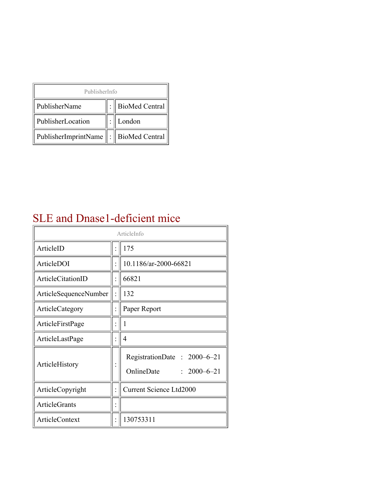| PublisherInfo                               |  |                |  |  |
|---------------------------------------------|--|----------------|--|--|
| PublisherName                               |  | BioMed Central |  |  |
| PublisherLocation                           |  | London         |  |  |
| PublisherImprintName    :    BioMed Central |  |                |  |  |

### SLE and Dnase1-deficient mice

| ArticleInfo           |  |                                                                |
|-----------------------|--|----------------------------------------------------------------|
| ArticleID             |  | 175                                                            |
| ArticleDOI            |  | 10.1186/ar-2000-66821                                          |
| ArticleCitationID     |  | 66821                                                          |
| ArticleSequenceNumber |  | 132                                                            |
| ArticleCategory       |  | Paper Report                                                   |
| ArticleFirstPage      |  | I                                                              |
| ArticleLastPage       |  | 4                                                              |
| ArticleHistory        |  | RegistrationDate: 2000–6–21<br>OnlineDate<br>$: 2000 - 6 - 21$ |
| ArticleCopyright      |  | <b>Current Science Ltd2000</b>                                 |
| <b>ArticleGrants</b>  |  |                                                                |
| ArticleContext        |  | 130753311                                                      |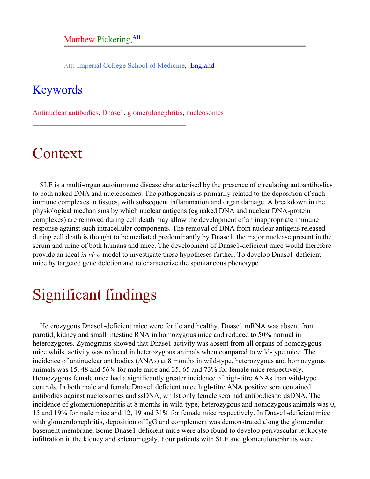Aff1 Imperial College School of Medicine, England

#### <span id="page-1-0"></span>Keywords

Antinuclear antibodies, Dnase1, glomerulonephritis, nucleosomes

## Context

SLE is a multi-organ autoimmune disease characterised by the presence of circulating autoantibodies to both naked DNA and nucleosomes. The pathogenesis is primarily related to the deposition of such immune complexes in tissues, with subsequent inflammation and organ damage. A breakdown in the physiological mechanisms by which nuclear antigens (eg naked DNA and nuclear DNA-protein complexes) are removed during cell death may allow the development of an inappropriate immune response against such intracellular components. The removal of DNA from nuclear antigens released during cell death is thought to be mediated predominantly by Dnase1, the major nuclease present in the serum and urine of both humans and mice. The development of Dnase1-deficient mice would therefore provide an ideal *in vivo* model to investigate these hypotheses further. To develop Dnase1-deficient mice by targeted gene deletion and to characterize the spontaneous phenotype.

## Significant findings

Heterozygous Dnase1-deficient mice were fertile and healthy. Dnase1 mRNA was absent from parotid, kidney and small intestine RNA in homozygous mice and reduced to 50% normal in heterozygotes. Zymograms showed that Dnase1 activity was absent from all organs of homozygous mice whilst activity was reduced in heterozygous animals when compared to wild-type mice. The incidence of antinuclear antibodies (ANAs) at 8 months in wild-type, heterozygous and homozygous animals was 15, 48 and 56% for male mice and 35, 65 and 73% for female mice respectively. Homozygous female mice had a significantly greater incidence of high-titre ANAs than wild-type controls. In both male and female Dnase1 deficient mice high-titre ANA positive sera contained antibodies against nucleosomes and ssDNA, whilst only female sera had antibodies to dsDNA. The incidence of glomerulonephritis at 8 months in wild-type, heterozygous and homozygous animals was 0, 15 and 19% for male mice and 12, 19 and 31% for female mice respectively. In Dnase1-deficient mice with glomerulonephritis, deposition of IgG and complement was demonstrated along the glomerular basement membrane. Some Dnase1-deficient mice were also found to develop perivascular leukocyte infiltration in the kidney and splenomegaly. Four patients with SLE and glomerulonephritis were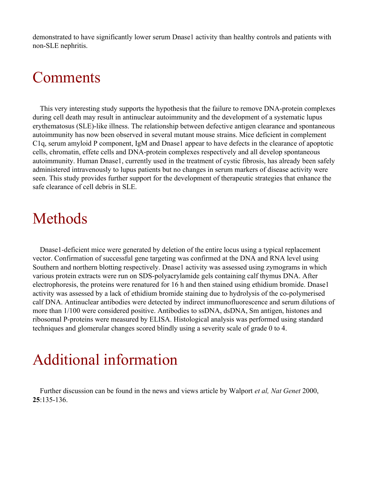demonstrated to have significantly lower serum Dnase1 activity than healthy controls and patients with non-SLE nephritis.

### Comments

This very interesting study supports the hypothesis that the failure to remove DNA-protein complexes during cell death may result in antinuclear autoimmunity and the development of a systematic lupus erythematosus (SLE)-like illness. The relationship between defective antigen clearance and spontaneous autoimmunity has now been observed in several mutant mouse strains. Mice deficient in complement C1q, serum amyloid P component, IgM and Dnase1 appear to have defects in the clearance of apoptotic cells, chromatin, effete cells and DNA-protein complexes respectively and all develop spontaneous autoimmunity. Human Dnase1, currently used in the treatment of cystic fibrosis, has already been safely administered intravenously to lupus patients but no changes in serum markers of disease activity were seen. This study provides further support for the development of therapeutic strategies that enhance the safe clearance of cell debris in SLE.

### Methods

Dnase1-deficient mice were generated by deletion of the entire locus using a typical replacement vector. Confirmation of successful gene targeting was confirmed at the DNA and RNA level using Southern and northern blotting respectively. Dnase1 activity was assessed using zymograms in which various protein extracts were run on SDS-polyacrylamide gels containing calf thymus DNA. After electrophoresis, the proteins were renatured for 16 h and then stained using ethidium bromide. Dnase1 activity was assessed by a lack of ethidium bromide staining due to hydrolysis of the co-polymerised calf DNA. Antinuclear antibodies were detected by indirect immunofluorescence and serum dilutions of more than 1/100 were considered positive. Antibodies to ssDNA, dsDNA, Sm antigen, histones and ribosomal P-proteins were measured by ELISA. Histological analysis was performed using standard techniques and glomerular changes scored blindly using a severity scale of grade 0 to 4.

# Additional information

Further discussion can be found in the news and views article by Walport *et al, Nat Genet* 2000, **25**:135-136.